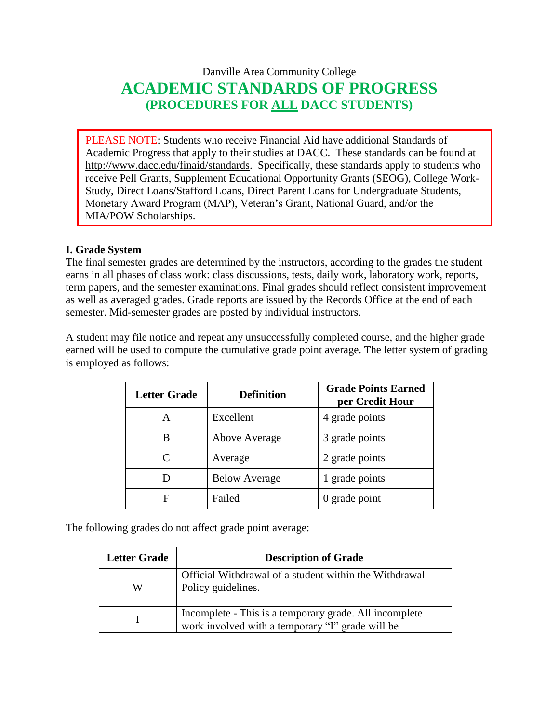# Danville Area Community College **ACADEMIC STANDARDS OF PROGRESS (PROCEDURES FOR ALL DACC STUDENTS)**

PLEASE NOTE: Students who receive Financial Aid have additional Standards of Academic Progress that apply to their studies at DACC. These standards can be found at [http://www.dacc.edu/finaid/standards.](http://www.dacc.edu/finaid/standards) Specifically, these standards apply to students who receive Pell Grants, Supplement Educational Opportunity Grants (SEOG), College Work-Study, Direct Loans/Stafford Loans, Direct Parent Loans for Undergraduate Students, Monetary Award Program (MAP), Veteran's Grant, National Guard, and/or the MIA/POW Scholarships.

## **I. Grade System**

The final semester grades are determined by the instructors, according to the grades the student earns in all phases of class work: class discussions, tests, daily work, laboratory work, reports, term papers, and the semester examinations. Final grades should reflect consistent improvement as well as averaged grades. Grade reports are issued by the Records Office at the end of each semester. Mid-semester grades are posted by individual instructors.

A student may file notice and repeat any unsuccessfully completed course, and the higher grade earned will be used to compute the cumulative grade point average. The letter system of grading is employed as follows:

| <b>Letter Grade</b> | <b>Definition</b>    | <b>Grade Points Earned</b><br>per Credit Hour |
|---------------------|----------------------|-----------------------------------------------|
| А                   | Excellent            | 4 grade points                                |
| В                   | Above Average        | 3 grade points                                |
| C                   | Average              | 2 grade points                                |
| Ð                   | <b>Below Average</b> | 1 grade points                                |
| F                   | Failed               | $0$ grade point                               |

The following grades do not affect grade point average:

| <b>Letter Grade</b> | <b>Description of Grade</b>                                                                                |  |
|---------------------|------------------------------------------------------------------------------------------------------------|--|
| W                   | Official Withdrawal of a student within the Withdrawal<br>Policy guidelines.                               |  |
|                     | Incomplete - This is a temporary grade. All incomplete<br>work involved with a temporary "I" grade will be |  |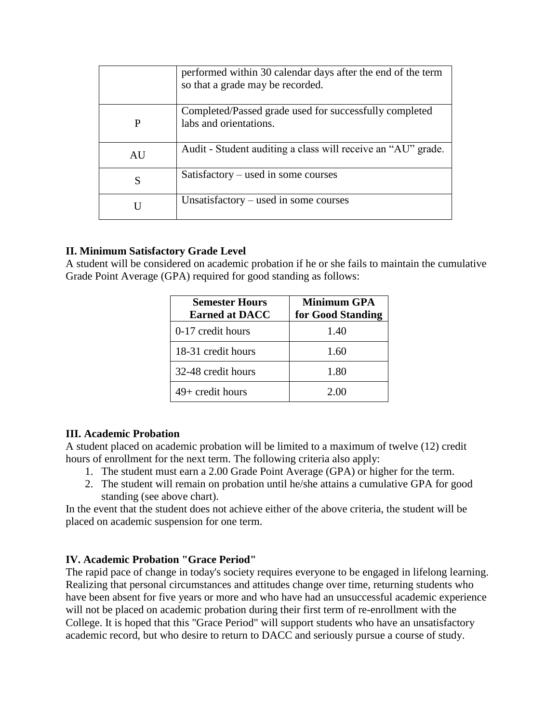|    | performed within 30 calendar days after the end of the term<br>so that a grade may be recorded. |
|----|-------------------------------------------------------------------------------------------------|
|    | Completed/Passed grade used for successfully completed<br>labs and orientations.                |
| AU | Audit - Student auditing a class will receive an "AU" grade.                                    |
| S  | $Satisfactory - used in some courses$                                                           |
|    | Unsatisfactory $-$ used in some courses                                                         |

## **II. Minimum Satisfactory Grade Level**

A student will be considered on academic probation if he or she fails to maintain the cumulative Grade Point Average (GPA) required for good standing as follows:

| <b>Semester Hours</b><br><b>Earned at DACC</b> | <b>Minimum GPA</b><br>for Good Standing |
|------------------------------------------------|-----------------------------------------|
| 0-17 credit hours                              | 1.40                                    |
| 18-31 credit hours                             | 1.60                                    |
| 32-48 credit hours                             | 1.80                                    |
| $49+$ credit hours                             | 2.00                                    |

### **III. Academic Probation**

A student placed on academic probation will be limited to a maximum of twelve (12) credit hours of enrollment for the next term. The following criteria also apply:

- 1. The student must earn a 2.00 Grade Point Average (GPA) or higher for the term.
- 2. The student will remain on probation until he/she attains a cumulative GPA for good standing (see above chart).

In the event that the student does not achieve either of the above criteria, the student will be placed on academic suspension for one term.

### **IV. Academic Probation "Grace Period"**

The rapid pace of change in today's society requires everyone to be engaged in lifelong learning. Realizing that personal circumstances and attitudes change over time, returning students who have been absent for five years or more and who have had an unsuccessful academic experience will not be placed on academic probation during their first term of re-enrollment with the College. It is hoped that this "Grace Period" will support students who have an unsatisfactory academic record, but who desire to return to DACC and seriously pursue a course of study.